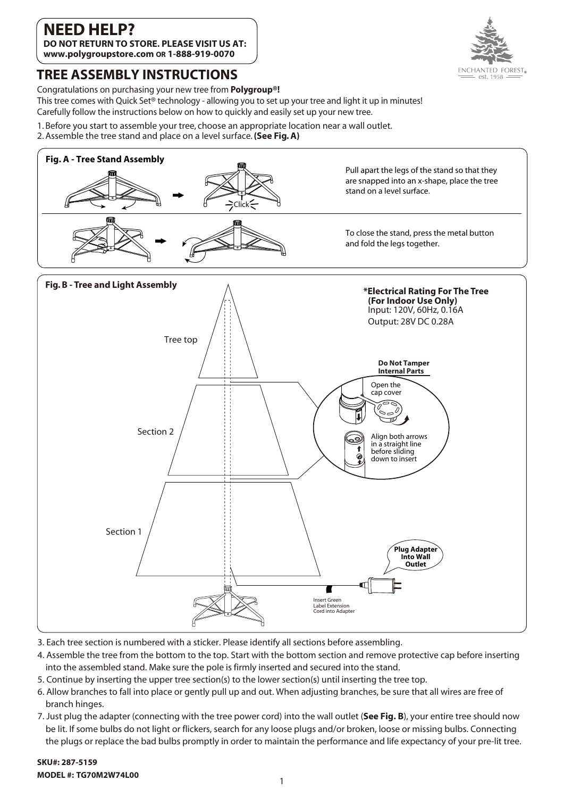#### **NEED HEL DO NOT RETURN TO STORE. PLEASE VISIT US AT: www.polygroupstore.com OR 1-888-919-0070**





Congratulations on purchasing your new tree from **Polygroup®!**

This tree comes with Quick Set® technology - allowing you to set up your tree and light it up in minutes! Carefully follow the instructions below on how to quickly and easily set up your new tree.

1. Before you start to assemble your tree, choose an appropriate location near a wall outlet.

2. Assemble the tree stand and place on a level surface. **(See Fig. A)**



- 3. Each tree section is numbered with a sticker. Please identify all sections before assembling.
- 4. Assemble the tree from the bottom to the top. Start with the bottom section and remove protective cap before inserting into the assembled stand. Make sure the pole is firmly inserted and secured into the stand.
- 5. Continue by inserting the upper tree section(s) to the lower section(s) until inserting the tree top.
- 6. Allow branches to fall into place or gently pull up and out. When adjusting branches, be sure that all wires are free of branch hinges.
- 7. Just plug the adapter (connecting with the tree power cord) into the wall outlet (**See Fig. B**), your entire tree should now be lit. If some bulbs do not light or flickers, search for any loose plugs and/or broken, loose or missing bulbs. Connecting the plugs or replace the bad bulbs promptly in order to maintain the performance and life expectancy of your pre-lit tree.